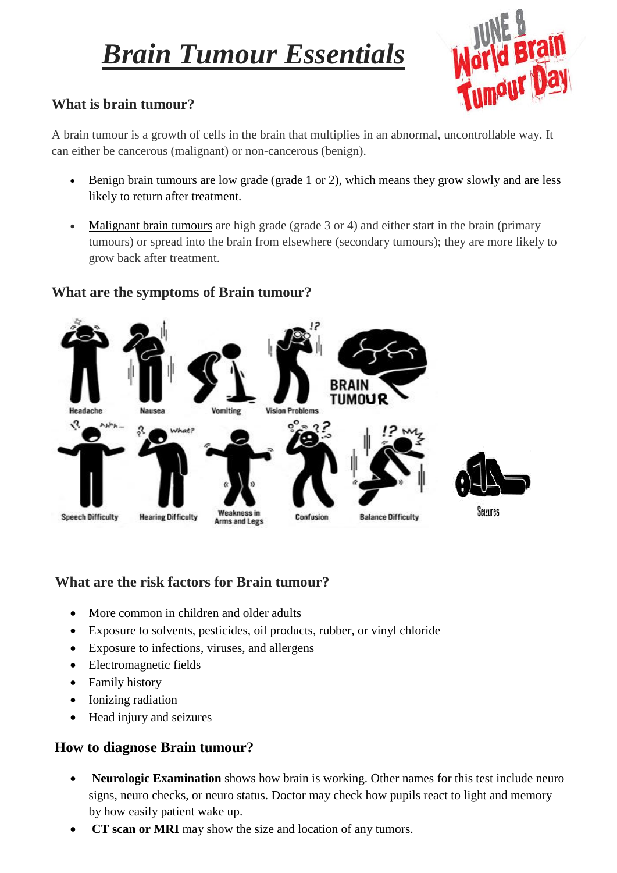# *Brain Tumour Essentials*



## **What is brain tumour?**

A brain tumour is a growth of cells in the brain that multiplies in an abnormal, uncontrollable way. It can either be cancerous (malignant) or non-cancerous (benign).

- [Benign brain tumours](http://www.nhs.uk/Conditions/Brain-tumour/Pages/Introduction.aspx) are low grade (grade 1 or 2), which means they grow slowly and are less likely to return after treatment.
- [Malignant brain tumours](http://www.nhs.uk/conditions/brain-tumour-malignant/Pages/Introduction.aspx) are high grade (grade 3 or 4) and either start in the brain (primary tumours) or spread into the brain from elsewhere (secondary tumours); they are more likely to grow back after treatment.

## **What are the symptoms of Brain tumour?**



## **What are the risk factors for Brain tumour?**

- More common in children and older adults
- Exposure to solvents, pesticides, oil products, rubber, or vinyl chloride
- Exposure to infections, viruses, and allergens
- Electromagnetic fields
- Family history
- Ionizing radiation
- Head injury and seizures

## **How to diagnose Brain tumour?**

- **Neurologic Examination** shows how brain is working. Other names for this test include neuro signs, neuro checks, or neuro status. Doctor may check how pupils react to light and memory by how easily patient wake up.
- **CT scan or MRI** may show the size and location of any tumors.